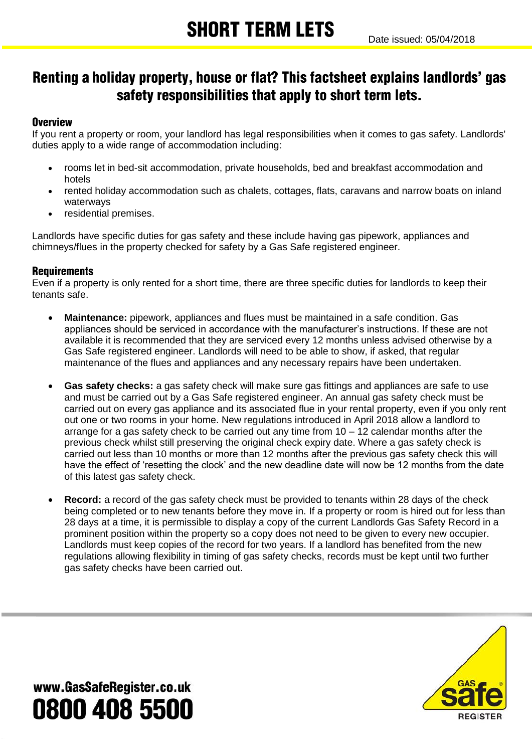### Renting a holiday property, house or flat? This factsheet explains landlords' gas safety responsibilities that apply to short term lets.

### **Overview**

If you rent a property or room, your landlord has legal responsibilities when it comes to gas safety. Landlords' duties apply to a wide range of accommodation including:

- rooms let in bed-sit accommodation, private households, bed and breakfast accommodation and hotels
- rented holiday accommodation such as chalets, cottages, flats, caravans and narrow boats on inland waterways
- residential premises.

Landlords have specific duties for gas safety and these include having gas pipework, appliances and chimneys/flues in the property checked for safety by a Gas Safe registered engineer.

### **Requirements**

Even if a property is only rented for a short time, there are three specific duties for landlords to keep their tenants safe.

- **Maintenance:** pipework, appliances and flues must be maintained in a safe condition. Gas appliances should be serviced in accordance with the manufacturer's instructions. If these are not available it is recommended that they are serviced every 12 months unless advised otherwise by a Gas Safe registered engineer. Landlords will need to be able to show, if asked, that regular maintenance of the flues and appliances and any necessary repairs have been undertaken.
- **Gas safety checks:** a gas safety check will make sure gas fittings and appliances are safe to use and must be carried out by a Gas Safe registered engineer. An annual gas safety check must be carried out on every gas appliance and its associated flue in your rental property, even if you only rent out one or two rooms in your home. New regulations introduced in April 2018 allow a landlord to arrange for a gas safety check to be carried out any time from 10 – 12 calendar months after the previous check whilst still preserving the original check expiry date. Where a gas safety check is carried out less than 10 months or more than 12 months after the previous gas safety check this will have the effect of 'resetting the clock' and the new deadline date will now be 12 months from the date of this latest gas safety check.
- **Record:** a record of the gas safety check must be provided to tenants within 28 days of the check being completed or to new tenants before they move in. If a property or room is hired out for less than 28 days at a time, it is permissible to display a copy of the current Landlords Gas Safety Record in a prominent position within the property so a copy does not need to be given to every new occupier. Landlords must keep copies of the record for two years. If a landlord has benefited from the new regulations allowing flexibility in timing of gas safety checks, records must be kept until two further gas safety checks have been carried out.



www.GasSafeRegister.co.uk 0800 408 5500